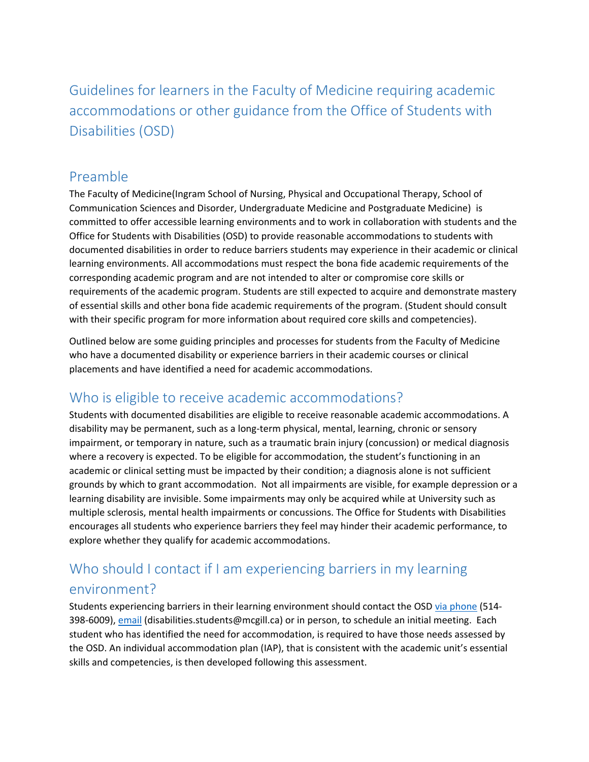Guidelines for learners in the Faculty of Medicine requiring academic accommodations or other guidance from the Office of Students with Disabilities (OSD)

#### Preamble

The Faculty of Medicine(Ingram School of Nursing, Physical and Occupational Therapy, School of Communication Sciences and Disorder, Undergraduate Medicine and Postgraduate Medicine) is committed to offer accessible learning environments and to work in collaboration with students and the Office for Students with Disabilities (OSD) to provide reasonable accommodations to students with documented disabilities in order to reduce barriers students may experience in their academic or clinical learning environments. All accommodations must respect the bona fide academic requirements of the corresponding academic program and are not intended to alter or compromise core skills or requirements of the academic program. Students are still expected to acquire and demonstrate mastery of essential skills and other bona fide academic requirements of the program. (Student should consult with their specific program for more information about required core skills and competencies).

Outlined below are some guiding principles and processes for students from the Faculty of Medicine who have a documented disability or experience barriers in their academic courses or clinical placements and have identified a need for academic accommodations.

#### Who is eligible to receive academic accommodations?

Students with documented disabilities are eligible to receive reasonable academic accommodations. A disability may be permanent, such as a long-term physical, mental, learning, chronic or sensory impairment, or temporary in nature, such as a traumatic brain injury (concussion) or medical diagnosis where a recovery is expected. To be eligible for accommodation, the student's functioning in an academic or clinical setting must be impacted by their condition; a diagnosis alone is not sufficient grounds by which to grant accommodation. Not all impairments are visible, for example depression or a learning disability are invisible. Some impairments may only be acquired while at University such as multiple sclerosis, mental health impairments or concussions. The Office for Students with Disabilities encourages all students who experience barriers they feel may hinder their academic performance, to explore whether they qualify for academic accommodations.

# Who should I contact if I am experiencing barriers in my learning environment?

Students experiencing barriers in their learning environment should contact the OSD [via phone](http://www.mcgill.ca/osd/about-us-0) (514- 398-6009), [email](mailto:disabilities.students@mcgill.ca) (disabilities.students@mcgill.ca) or in person, to schedule an initial meeting. Each student who has identified the need for accommodation, is required to have those needs assessed by the OSD. An individual accommodation plan (IAP), that is consistent with the academic unit's essential skills and competencies, is then developed following this assessment.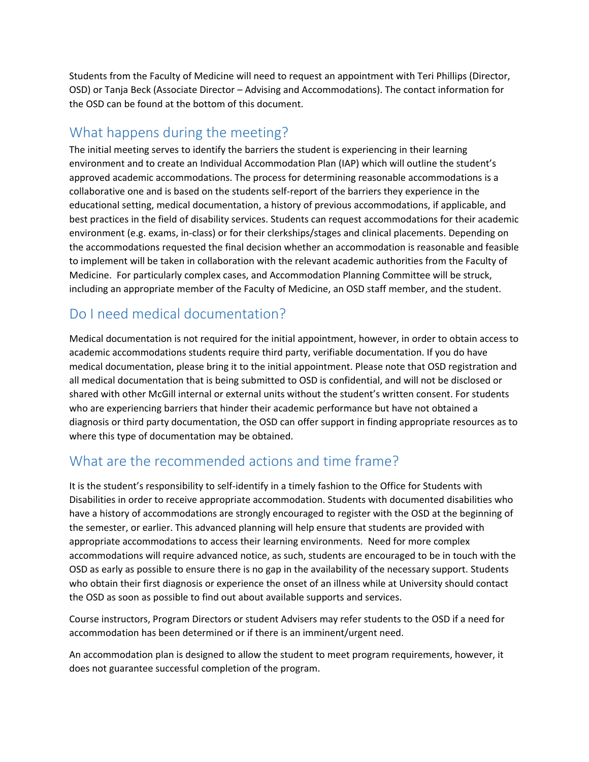Students from the Faculty of Medicine will need to request an appointment with Teri Phillips (Director, OSD) or Tanja Beck (Associate Director – Advising and Accommodations). The contact information for the OSD can be found at the bottom of this document.

## What happens during the meeting?

The initial meeting serves to identify the barriers the student is experiencing in their learning environment and to create an Individual Accommodation Plan (IAP) which will outline the student's approved academic accommodations. The process for determining reasonable accommodations is a collaborative one and is based on the students self-report of the barriers they experience in the educational setting, medical documentation, a history of previous accommodations, if applicable, and best practices in the field of disability services. Students can request accommodations for their academic environment (e.g. exams, in-class) or for their clerkships/stages and clinical placements. Depending on the accommodations requested the final decision whether an accommodation is reasonable and feasible to implement will be taken in collaboration with the relevant academic authorities from the Faculty of Medicine. For particularly complex cases, and Accommodation Planning Committee will be struck, including an appropriate member of the Faculty of Medicine, an OSD staff member, and the student.

## Do I need medical documentation?

Medical documentation is not required for the initial appointment, however, in order to obtain access to academic accommodations students require third party, verifiable documentation. If you do have medical documentation, please bring it to the initial appointment. Please note that OSD registration and all medical documentation that is being submitted to OSD is confidential, and will not be disclosed or shared with other McGill internal or external units without the student's written consent. For students who are experiencing barriers that hinder their academic performance but have not obtained a diagnosis or third party documentation, the OSD can offer support in finding appropriate resources as to where this type of documentation may be obtained.

#### What are the recommended actions and time frame?

It is the student's responsibility to self-identify in a timely fashion to the Office for Students with Disabilities in order to receive appropriate accommodation. Students with documented disabilities who have a history of accommodations are strongly encouraged to register with the OSD at the beginning of the semester, or earlier. This advanced planning will help ensure that students are provided with appropriate accommodations to access their learning environments. Need for more complex accommodations will require advanced notice, as such, students are encouraged to be in touch with the OSD as early as possible to ensure there is no gap in the availability of the necessary support. Students who obtain their first diagnosis or experience the onset of an illness while at University should contact the OSD as soon as possible to find out about available supports and services.

Course instructors, Program Directors or student Advisers may refer students to the OSD if a need for accommodation has been determined or if there is an imminent/urgent need.

An accommodation plan is designed to allow the student to meet program requirements, however, it does not guarantee successful completion of the program.